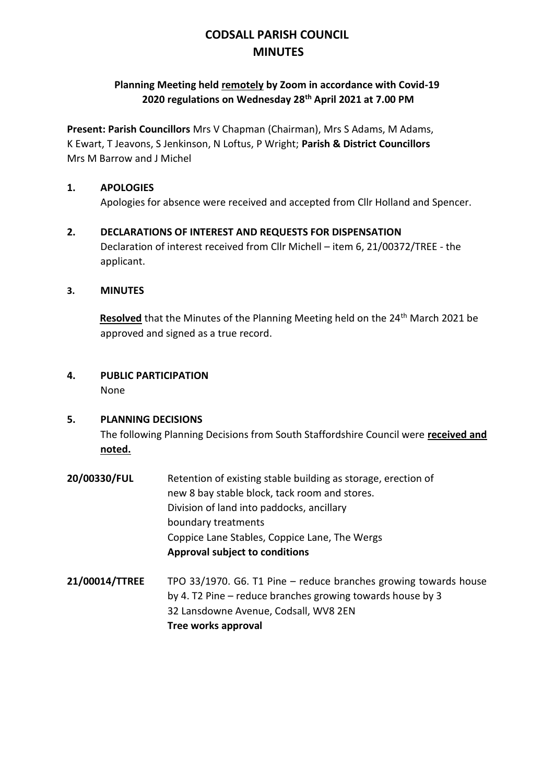# **CODSALL PARISH COUNCIL MINUTES**

# **Planning Meeting held remotely by Zoom in accordance with Covid-19 2020 regulations on Wednesday 28th April 2021 at 7.00 PM**

**Present: Parish Councillors** Mrs V Chapman (Chairman), Mrs S Adams, M Adams, K Ewart, T Jeavons, S Jenkinson, N Loftus, P Wright; **Parish & District Councillors**  Mrs M Barrow and J Michel

### **1. APOLOGIES**

Apologies for absence were received and accepted from Cllr Holland and Spencer.

**2. DECLARATIONS OF INTEREST AND REQUESTS FOR DISPENSATION** Declaration of interest received from Cllr Michell – item 6, 21/00372/TREE - the applicant.

### **3. MINUTES**

**Resolved** that the Minutes of the Planning Meeting held on the 24<sup>th</sup> March 2021 be approved and signed as a true record.

**4. PUBLIC PARTICIPATION** None

#### **5. PLANNING DECISIONS**

The following Planning Decisions from South Staffordshire Council were **received and noted.**

- **20/00330/FUL** Retention of existing stable building as storage, erection of new 8 bay stable block, tack room and stores. Division of land into paddocks, ancillary boundary treatments Coppice Lane Stables, Coppice Lane, The Wergs **Approval subject to conditions**
- **21/00014/TTREE** TPO 33/1970. G6. T1 Pine reduce branches growing towards house by 4. T2 Pine – reduce branches growing towards house by 3 32 Lansdowne Avenue, Codsall, WV8 2EN **Tree works approval**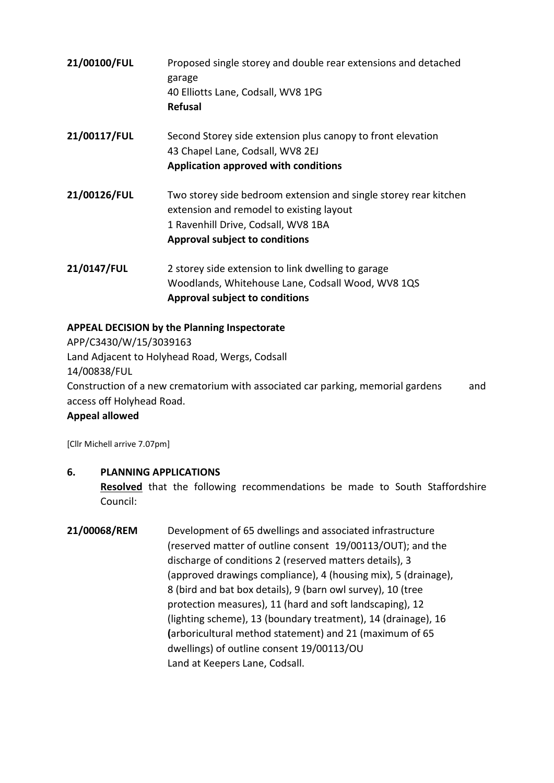| 21/00100/FUL | Proposed single storey and double rear extensions and detached<br>garage<br>40 Elliotts Lane, Codsall, WV8 1PG<br><b>Refusal</b>                                                             |
|--------------|----------------------------------------------------------------------------------------------------------------------------------------------------------------------------------------------|
| 21/00117/FUL | Second Storey side extension plus canopy to front elevation<br>43 Chapel Lane, Codsall, WV8 2EJ<br>Application approved with conditions                                                      |
| 21/00126/FUL | Two storey side bedroom extension and single storey rear kitchen<br>extension and remodel to existing layout<br>1 Ravenhill Drive, Codsall, WV8 1BA<br><b>Approval subject to conditions</b> |
| 21/0147/FUL  | 2 storey side extension to link dwelling to garage<br>Woodlands, Whitehouse Lane, Codsall Wood, WV8 1QS<br><b>Approval subject to conditions</b>                                             |

### **APPEAL DECISION by the Planning Inspectorate**

APP/C3430/W/15/3039163 Land Adjacent to Holyhead Road, Wergs, Codsall 14/00838/FUL Construction of a new crematorium with associated car parking, memorial gardens and access off Holyhead Road.

**Appeal allowed**

[Cllr Michell arrive 7.07pm]

# **6. PLANNING APPLICATIONS**

**Resolved** that the following recommendations be made to South Staffordshire Council:

**21/00068/REM** Development of 65 dwellings and associated infrastructure (reserved matter of outline consent 19/00113/OUT); and the discharge of conditions 2 (reserved matters details), 3 (approved drawings compliance), 4 (housing mix), 5 (drainage), 8 (bird and bat box details), 9 (barn owl survey), 10 (tree protection measures), 11 (hard and soft landscaping), 12 (lighting scheme), 13 (boundary treatment), 14 (drainage), 16 **(**arboricultural method statement) and 21 (maximum of 65 dwellings) of outline consent 19/00113/OU Land at Keepers Lane, Codsall.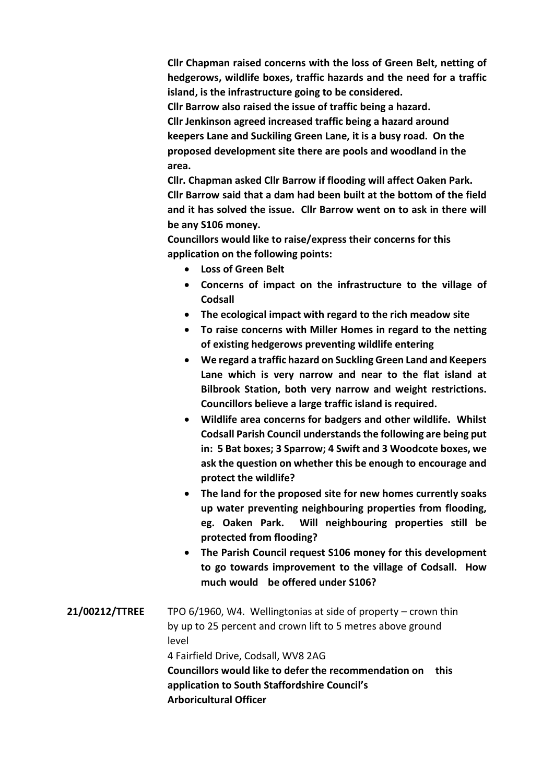**Cllr Chapman raised concerns with the loss of Green Belt, netting of hedgerows, wildlife boxes, traffic hazards and the need for a traffic island, is the infrastructure going to be considered.**

**Cllr Barrow also raised the issue of traffic being a hazard.**

**Cllr Jenkinson agreed increased traffic being a hazard around keepers Lane and Suckiling Green Lane, it is a busy road. On the proposed development site there are pools and woodland in the area.**

**Cllr. Chapman asked Cllr Barrow if flooding will affect Oaken Park. Cllr Barrow said that a dam had been built at the bottom of the field and it has solved the issue. Cllr Barrow went on to ask in there will be any S106 money.**

**Councillors would like to raise/express their concerns for this application on the following points:**

- **Loss of Green Belt**
- **Concerns of impact on the infrastructure to the village of Codsall**
- **The ecological impact with regard to the rich meadow site**
- **To raise concerns with Miller Homes in regard to the netting of existing hedgerows preventing wildlife entering**
- **We regard a traffic hazard on Suckling Green Land and Keepers Lane which is very narrow and near to the flat island at Bilbrook Station, both very narrow and weight restrictions. Councillors believe a large traffic island is required.**
- **Wildlife area concerns for badgers and other wildlife. Whilst Codsall Parish Council understands the following are being put in: 5 Bat boxes; 3 Sparrow; 4 Swift and 3 Woodcote boxes, we ask the question on whether this be enough to encourage and protect the wildlife?**
- **The land for the proposed site for new homes currently soaks up water preventing neighbouring properties from flooding, eg. Oaken Park. Will neighbouring properties still be protected from flooding?**
- **The Parish Council request S106 money for this development to go towards improvement to the village of Codsall. How much would be offered under S106?**
- **21/00212/TTREE** TPO 6/1960, W4. Wellingtonias at side of property crown thin by up to 25 percent and crown lift to 5 metres above ground level 4 Fairfield Drive, Codsall, WV8 2AG **Councillors would like to defer the recommendation on this application to South Staffordshire Council's Arboricultural Officer**